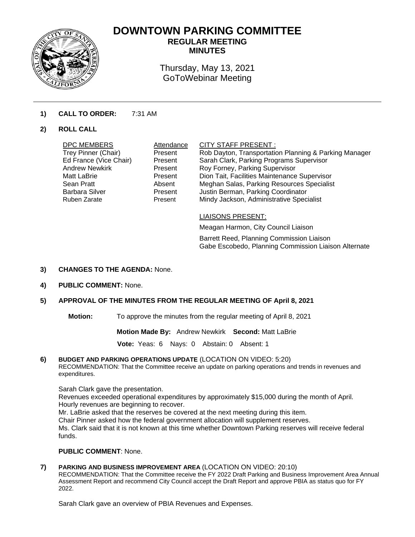

# **DOWNTOWN PARKING COMMITTEE**

**REGULAR MEETING MINUTES** 

Thursday, May 13, 2021 GoToWebinar Meeting

# **1) CALL TO ORDER:** 7:31 AM

# **2) ROLL CALL**

| <b>DPC MEMBERS</b>     | Attendance | CITY STAFF PRESENT :                                  |
|------------------------|------------|-------------------------------------------------------|
| Trey Pinner (Chair)    | Present    | Rob Dayton, Transportation Planning & Parking Manager |
| Ed France (Vice Chair) | Present    | Sarah Clark, Parking Programs Supervisor              |
| <b>Andrew Newkirk</b>  | Present    | Roy Forney, Parking Supervisor                        |
| Matt LaBrie            | Present    | Dion Tait, Facilities Maintenance Supervisor          |
| Sean Pratt             | Absent     | Meghan Salas, Parking Resources Specialist            |
| <b>Barbara Silver</b>  | Present    | Justin Berman, Parking Coordinator                    |
| Ruben Zarate           | Present    | Mindy Jackson, Administrative Specialist              |
|                        |            |                                                       |

### LIAISONS PRESENT:

Meagan Harmon, City Council Liaison Barrett Reed, Planning Commission Liaison Gabe Escobedo, Planning Commission Liaison Alternate

- **3) CHANGES TO THE AGENDA:** None.
- **4) PUBLIC COMMENT:** None.

## **5) APPROVAL OF THE MINUTES FROM THE REGULAR MEETING OF April 8, 2021**

**Motion:** To approve the minutes from the regular meeting of April 8, 2021

**Motion Made By:** Andrew Newkirk **Second:** Matt LaBrie

**Vote:** Yeas: 6 Nays: 0 Abstain: 0 Absent: 1

#### **6) BUDGET AND PARKING OPERATIONS UPDATE** (LOCATION ON VIDEO: 5:20)

RECOMMENDATION: That the Committee receive an update on parking operations and trends in revenues and expenditures.

Sarah Clark gave the presentation.

Revenues exceeded operational expenditures by approximately \$15,000 during the month of April. Hourly revenues are beginning to recover.

Mr. LaBrie asked that the reserves be covered at the next meeting during this item.

Chair Pinner asked how the federal government allocation will supplement reserves.

Ms. Clark said that it is not known at this time whether Downtown Parking reserves will receive federal funds.

#### **PUBLIC COMMENT**: None.

## **7) PARKING AND BUSINESS IMPROVEMENT AREA** (LOCATION ON VIDEO: 20:10)

RECOMMENDATION: That the Committee receive the FY 2022 Draft Parking and Business Improvement Area Annual Assessment Report and recommend City Council accept the Draft Report and approve PBIA as status quo for FY 2022.

Sarah Clark gave an overview of PBIA Revenues and Expenses.